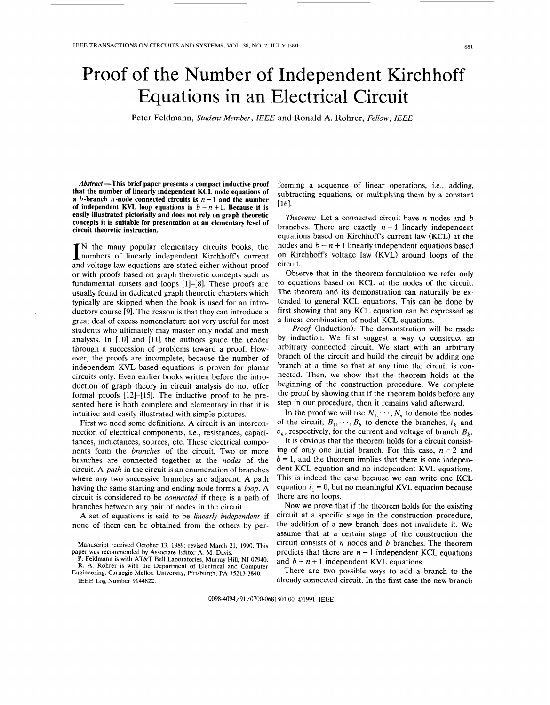## Proof of the Number of Independent Kirchhoff Equations in an Electrical Circuit

Peter Feldmann, *Student Member, IEEE* and Ronald **A.** Rohrer, *Fellow, IEEE* 

*Abstract* **-This brief paper presents a compact inductive proof that the number of linearly independent KCL node equations of a** *b*-branch *n*-node connected circuits is  $n - 1$  and the number **of independent KVL loop equations is**  $b - n + 1$ **. Because it is easily illustrated pictorially and does not rely on graph theoretic concepts it is suitable for presentation at an elementary level of circuit theoretic instruction.** 

IN the many popular elementary circuits books, the numbers of linearly independent Kirchhoff's current and voltage law equations are stated either without proof or with proofs based on graph theoretic concepts such as fundamental cutsets and loops [1]-[8]. These proofs are usually found in dedicated graph theoretic chapters which typically are skipped when the book is used for an introductory course [9]. The reason is that they can introduce a great deal of excess nomenclature not very useful for most students who ultimately may master only nodal and mesh analysis. In [10] and [11] the authors guide the reader through a succession of problems toward a proof. However, the proofs are incomplete, because the number of independent **KVL** based equations is proven for planar circuits only. Even earlier books written before the introduction of graph theory in circuit analysis do not offer formal proofs [12]-[15]. The inductive proof to be presented here is both complete and elementary in that it is intuitive and easily illustrated with simple pictures.

First we need some definitions. **A** circuit is an interconnection of electrical components, i.e., resistances, capacitances, inductances, sources, etc. These electrical components form the *branches* of the circuit. Two or more branches are connected together at the *nodes* of the circuit. **A** *path* in the circuit is an enumeration of branches where any two successive branches are adjacent. **A** path having the same starting and ending node forms a *loop.* **A**  circuit is considered to be *connected* if there is a path of branches between any pair of nodes in the circuit.

**A** set of equations is said to be *linearly independent* if none of them can be obtained from the others by per-

IEEE **Log** Number 9144822.

forming a sequence of linear operations, i.e., adding, subtracting equations, or multiplying them by a constant [161.

*Theorem:* Let a connected circuit have *n* nodes and *b*  branches. There are exactly  $n-1$  linearly independent equations based on Kirchhoffs current law **(KCL)** at the nodes and  $b - n + 1$  linearly independent equations based on Kirchhoffs voltage law **(KVL)** around loops of the circuit.

Observe that in the theorem formulation we refer only to equations based on **KCL** at the nodes of the circuit. The theorem and its demonstration can naturally be extended to general **KCL** equations. This can be done by first showing that any **KCL** equation can be expressed as a linear combination of nodal **KCL** equations.

*Proof* (Induction): The demonstration will be made by induction. We first suggest a way to construct an arbitrary connected circuit. We start with an arbitrary branch of the circuit and build the circuit by adding one branch at a time so that at any time the circuit is connected. Then, we show that the theorem holds at the beginning of the construction procedure. We complete the proof by showing that if the theorem holds before any step in our procedure, then it remains valid afterward.

In the proof we will use  $N_1, \dots, N_n$  to denote the nodes of the circuit,  $B_1, \dots, B_k$  to denote the branches,  $i_k$  and  $v_k$ , respectively, for the current and voltage of branch  $B_k$ .

It is obvious that the theorem holds for a circuit consisting of only one initial branch. For this case,  $n = 2$  and  $b = 1$ , and the theorem implies that there is one independent **KCL** equation and no independent **KVL** equations. This is indeed the case because we can write one **KCL**  equation  $i_1 = 0$ , but no meaningful KVL equation because there are no loops.

Now we prove that if the theorem holds for the existing circuit at a specific stage in the construction procedure, the addition of a new branch does not invalidate it. We assume that at a certain stage of the construction the circuit consists of *n* nodes and *b* branches. The theorem predicts that there are  $n-1$  independent **KCL** equations and  $b - n + 1$  independent KVL equations.

There are two possible ways to add a branch to the already connected circuit. In the first case the new branch

0098-4094/91/0700-0681\$01 .OO *0* 1991 IEEE

Manuscript received October **13,** 1989; revised March 21, 1990. This paper was recommended by Associate Editor A. M. Davis.

**P.** Feldmann **is** with AT&T Bell Laboratories, Murray Hill, NJ 07940. R. A. Rohrer is with the Department of Electrical and Computer Engineering, Carnegie Mellon University, Pittsburgh, **PA** 15213-3840.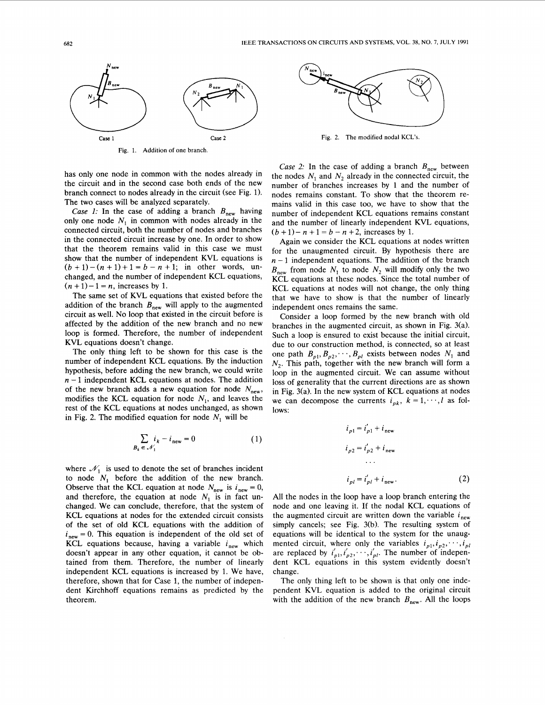

**Fig.** 1. **Addition of one branch** 

has only one node in common with the nodes already in the circuit and in the second case both ends of the new branch connect to nodes already in the circuit (see Fig. 1). The two cases will be analyzed separately.

*Case 1:* In the case of adding a branch  $B_{\text{new}}$  having only one node  $N_1$  in common with nodes already in the connected circuit, both the number of nodes and branches in the connected circuit increase by one. In order to show that the theorem remains valid in this case we must show that the number of independent **KVL** equations is  $(b + 1) - (n + 1) + 1 = b - n + 1$ ; in other words, unchanged, and the number of independent **KCL** equations,  $(n + 1)-1 = n$ , increases by 1.

The same set of **KVL** equations that existed before the addition of the branch  $B_{\text{new}}$  will apply to the augmented circuit as well. No loop that existed in the circuit before is affected by the addition of the new branch and no new loop is formed. Therefore, the number of independent **KVL** equations doesn't change.

The only thing left to be shown for this case is the number of independent **KCL** equations. By the induction hypothesis, before adding the new branch, we could write  $n-1$  independent KCL equations at nodes. The addition of the new branch adds a new equation for node  $N_{\text{new}}$ , modifies the KCL equation for node  $N_1$ , and leaves the rest of the **KCL** equations at nodes unchanged, as shown in Fig. 2. The modified equation for node  $N_1$  will be

$$
\sum_{B_k \in \mathcal{N}_1} i_k - i_{\text{new}} = 0 \tag{1}
$$

where  $\mathcal{N}_1$  is used to denote the set of branches incident to node *N,* before the addition of the new branch. Observe that the KCL equation at node  $N_{\text{new}}$  is  $i_{\text{new}} = 0$ , and therefore, the equation at node  $N_1$  is in fact unchanged. We can conclude, therefore, that the system of **KCL** equations at nodes for the extended circuit consists of the set of old **KCL** equations with the addition of  $i<sub>new</sub> = 0$ . This equation is independent of the old set of **KCL** equations because, having a variable  $i_{\text{new}}$  which doesn't appear in any other equation, it cannot be obtained from them. Therefore, the number of linearly independent **KCL** equations is increased by 1. We have, therefore, shown that for Case 1, the number of independent Kirchhoff equations remains as predicted by the theorem.



Fig. 2. **The modified nodal** KCL's.

*Case 2:* In the case of adding a branch  $B_{\text{new}}$  between the nodes  $N_1$  and  $N_2$  already in the connected circuit, the number of branches increases by 1 and the number of nodes remains constant. To show that the theorem remains valid in this case too, we have to show that the number of independent **KCL** equations remains constant and the number of linearly independent **KVL** equations,  $(b + 1) - n + 1 = b - n + 2$ , increases by 1.

Again we consider the **KCL** equations at nodes written for the unaugmented circuit. By hypothesis there are  $n-1$  independent equations. The addition of the branch  $B_{\text{new}}$  from node  $N_1$  to node  $N_2$  will modify only the two **KCL** equations at these nodes. Since the total number of **KCL** equations at nodes will not change, the only thing that we have to show is that the number of linearly independent ones remains the same.

Consider a loop formed by the new branch with old branches in the augmented circuit, as shown in Fig. 3(a). Such a loop is ensured to exist because the initial circuit, due to our construction method, is connected, so at least one path  $B_{p1}, B_{p2}, \dots, B_{p1}$  exists between nodes  $N_1$  and *N,.* This path, together with the new branch will form a loop in the augmented circuit. We can assume without loss of generality that the current directions are as shown in Fig. 3(a). In the new system of **KCL** equations at nodes we can decompose the currents  $i_{pk}$ ,  $k = 1, \dots, l$  as follows:

$$
i_{p1} = i'_{p1} + i_{\text{new}}
$$
  
\n
$$
i_{p2} = i'_{p2} + i_{\text{new}}
$$
  
\n...  
\n
$$
i_{pl} = i'_{pl} + i_{\text{new}}.
$$
  
\n(2)

All the nodes in the loop have a loop branch entering the node and one leaving it. If the nodal **KCL** equations of the augmented circuit are written down the variable  $i<sub>new</sub>$ simply cancels; see Fig. 3(b). The resulting system of equations will be identical to the system for the unaugmented circuit, where only the variables  $i_{p1}, i_{p2}, \dots, i_{pl}$ are replaced by  $i'_{p1}, i'_{p2}, \cdots, i'_{pl}$ . The number of independent **KCL** equations in this system evidently doesn't change.

The only thing left to be shown is that only one independent **KVL** equation is added to the original circuit with the addition of the new branch  $B_{\text{new}}$ . All the loops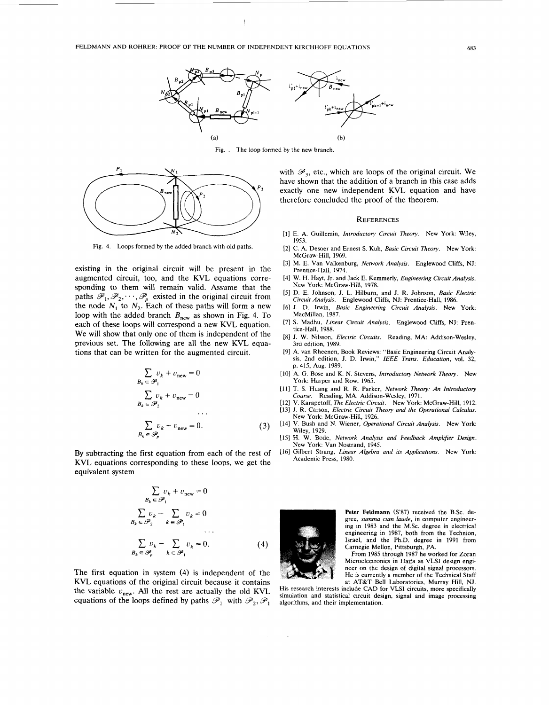

Fig. . The loop formed by the new branch.



Fig. **4.** Loops formed by the added branch with old paths.

existing in the original circuit will be present in the augmented circuit, too, and the KVL equations corresponding to them will remain valid. Assume that the sponding to them will remain valid. Assume that the paths  $\mathscr{P}_1, \mathscr{P}_2, \dots, \mathscr{P}_p$  existed in the original circuit from the node  $N_1$  to  $N_2$ . Each of these paths will form a new loop with the added branch  $B_{\text{new}}$  as shown in Fig. 4. To each of these loops will correspond a new KVL equation. We will show that only one of them is independent of the previous set. The following are all the new KVL equations that can be written for the augmented circuit.

$$
\sum_{B_k \in \mathscr{P}_1} \nu_k + \nu_{\text{new}} = 0
$$
  

$$
\sum_{B_k \in \mathscr{P}_2} \nu_k + \nu_{\text{new}} = 0
$$
  
...  

$$
\sum_{B_k \in \mathscr{P}_p} \nu_k + \nu_{\text{new}} = 0.
$$
 (3)

By subtracting the first equation from each of the rest of KVL equations corresponding to these loops, we get the equivalent system

$$
\sum_{B_k \in \mathscr{P}_1} v_k + v_{\text{new}} = 0
$$
  

$$
\sum_{B_k \in \mathscr{P}_2} v_k - \sum_{k \in \mathscr{P}_1} v_k = 0
$$
  

$$
\sum_{B_k \in \mathscr{P}_p} v_k - \sum_{k \in \mathscr{P}_1} v_k = 0.
$$
 (4)

The first equation in system (4) is independent of the KVL equations of the original circuit because it contains the variable  $v_{\text{new}}$ . All the rest are actually the old KVL equations of the loops defined by paths  $\mathscr{P}_1$  with  $\mathscr{P}_2$ ,  $\mathscr{P}_1$ 

with  $\mathscr{P}_3$ , etc., which are loops of the original circuit. We have shown that the addition of a branch in this case adds exactly one new independent KVL equation and have therefore concluded the proof of the theorem.

## **REFERENCES**

- **[l]** E. A. Guillemin, *Introductory Circuit Theory.* New York: Wiley, **1953.**
- **[2]** C. A. Desoer and Ernest **S.** Kuh, *Basic Circuit Theory.* New York: McGraw-Hill, **1969.**
- **[3]** M. **E.** Van Valkenburg, *Network Analysis.* Englewood Cliffs, NJ: Prentice-Hall, **1974.**
- **[4]** W. H. Hayt, Jr. and Jack **E.** Kemmerly, *Engineering Circuif Analysis.*  New York: McGraw-Hill, 1978.
- **[5]** D. E. Johnson, J. L. Hilburn, and J. R. Johnson, *Basic Electric Circuit Analysis.*  Englewood Cliffs, NJ: Prentice-Hall, **1986.**
- **[6]** J. D. Irwin, *Basic Engineering Circuif Analysis.* New York: MacMillan, **1987.**
- **[7] S.** Madhu, *Linear Circuit Analysis.* Englewood Cliffs, NJ: Prentice-Hall, **1988.**
- [81 J. W. Nilsson, *Electric Circuits.* Reading, MA: Addison-Wesley, 3rd edition, **1989.**
- **[9]** A. van Rheenen, Book Reviews: "Basic Engineering Circuit Analy**sis,** 2nd edition, J. D. Irwin," *IEEE Trans. Education,* **vol. 32,**  p. **415,** Aug. **1989.**
- **[lo]** A. G. Bose and K. N. Stevens, *Introductory Nerwork Theory.* New York: Harper and Row, 1965.
- **[ll]** T. **S.** Huang and R. R. Parker, *Network Theory: An Introductory Course.* Reading, MA: Addison-Wesley, **1971.**
- **[12] V.** Karapetoff, *The Electric Circuit.* New York: McGraw-Hill, **1912. [13]** J. R. Carson, *Electric Circuit Theory and the Operational Calculus.*
- **[14]** V. Bush and N. Wiener, *Operational Circuit Analysis.* New York: New York: McGraw-Hill, **1926.**
- **[15]** H. W. Bode, *Network Analysis and Feedback Amplifier Design.*  Wiley, **1929.**  New York: Van Nostrand, **1945.**
- **[16]** Gilbert Strang, *Linear Algebra and its Applications.* New York: Academic Press, **1980.**



Peter Feldmann (S'87) received the B.Sc. degree, *summa cum laude,* in computer engineering in **1983** and the M.Sc. degree in electrical engineering in **1987,** both from the Technion, Israel, and the Ph.D. degree in **1991** from Carnegie Mellon, Pittsburgh, PA.

From 1985 through 1987 he worked for Zoran Microelectronics in Haifa as VLSI design engineer on the design of digital signal processors. He is currently a member of the Technical Staff

at AT&T Bell Laboratories, Murray Hill, NJ. His research interests include CAD for VLSI circuits, more specifically simulation and statistical circuit design, signal and image processing algorithms, and their implementation.